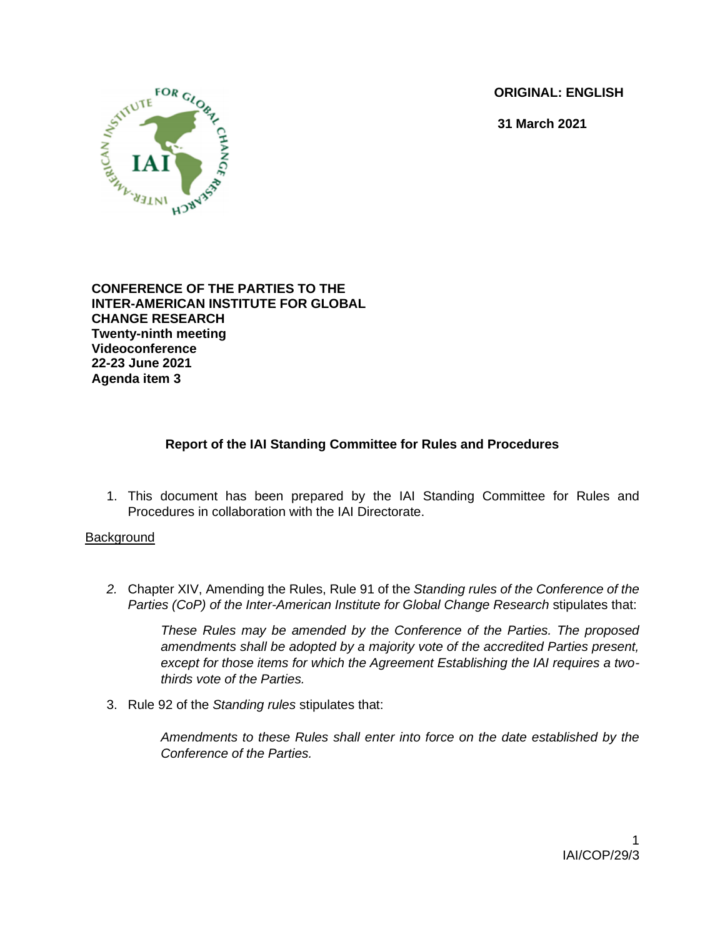**ORIGINAL: ENGLISH**

**31 March 2021**



**CONFERENCE OF THE PARTIES TO THE INTER-AMERICAN INSTITUTE FOR GLOBAL CHANGE RESEARCH Twenty-ninth meeting Videoconference 22-23 June 2021 Agenda item 3**

# **Report of the IAI Standing Committee for Rules and Procedures**

1. This document has been prepared by the IAI Standing Committee for Rules and Procedures in collaboration with the IAI Directorate.

## **Background**

*2.* Chapter XIV, Amending the Rules, Rule 91 of the *Standing rules of the Conference of the Parties (CoP) of the Inter-American Institute for Global Change Research* stipulates that:

*These Rules may be amended by the Conference of the Parties. The proposed amendments shall be adopted by a majority vote of the accredited Parties present, except for those items for which the Agreement Establishing the IAI requires a twothirds vote of the Parties.*

3. Rule 92 of the *Standing rules* stipulates that:

*Amendments to these Rules shall enter into force on the date established by the Conference of the Parties.*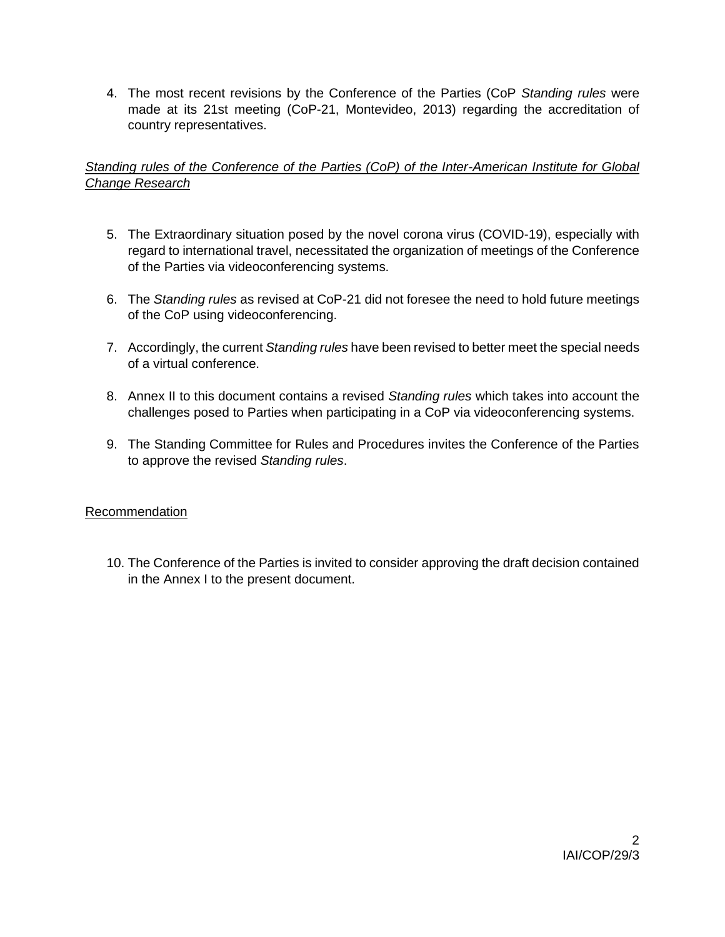4. The most recent revisions by the Conference of the Parties (CoP *Standing rules* were made at its 21st meeting (CoP-21, Montevideo, 2013) regarding the accreditation of country representatives.

# *Standing rules of the Conference of the Parties (CoP) of the Inter-American Institute for Global Change Research*

- 5. The Extraordinary situation posed by the novel corona virus (COVID-19), especially with regard to international travel, necessitated the organization of meetings of the Conference of the Parties via videoconferencing systems.
- 6. The *Standing rules* as revised at CoP-21 did not foresee the need to hold future meetings of the CoP using videoconferencing.
- 7. Accordingly, the current *Standing rules* have been revised to better meet the special needs of a virtual conference.
- 8. Annex II to this document contains a revised *Standing rules* which takes into account the challenges posed to Parties when participating in a CoP via videoconferencing systems.
- 9. The Standing Committee for Rules and Procedures invites the Conference of the Parties to approve the revised *Standing rules*.

# Recommendation

10. The Conference of the Parties is invited to consider approving the draft decision contained in the Annex I to the present document.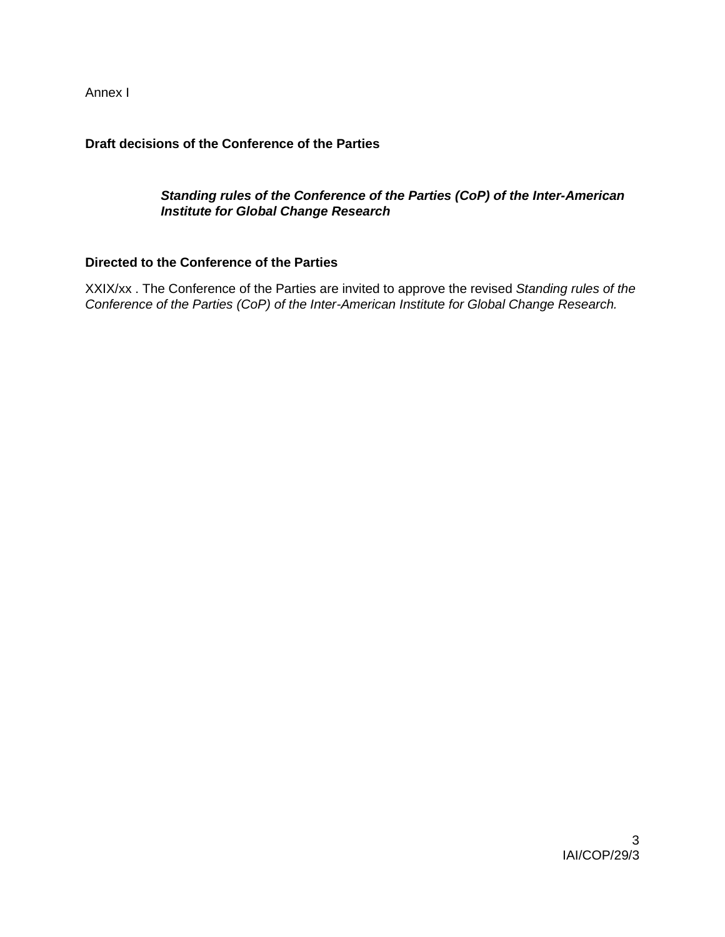Annex I

## **Draft decisions of the Conference of the Parties**

## *Standing rules of the Conference of the Parties (CoP) of the Inter-American Institute for Global Change Research*

## **Directed to the Conference of the Parties**

XXIX/xx . The Conference of the Parties are invited to approve the revised *Standing rules of the Conference of the Parties (CoP) of the Inter-American Institute for Global Change Research.*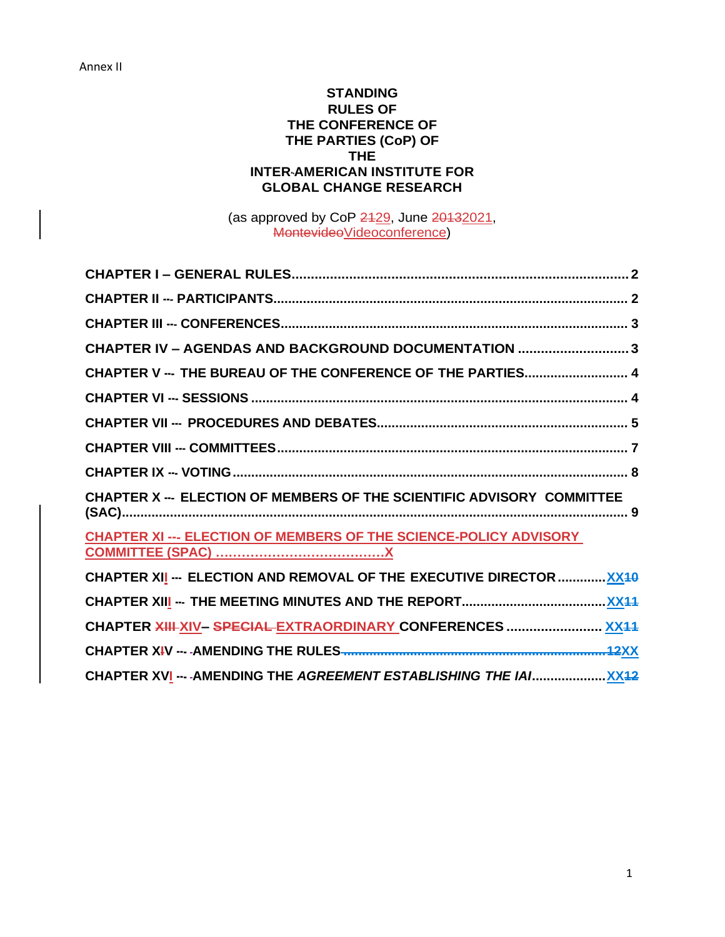## **STANDING RULES OF THE CONFERENCE OF THE PARTIES (CoP) OF THE INTER-AMERICAN INSTITUTE FOR GLOBAL CHANGE RESEARCH**

(as approved by CoP 2429, June 20132021, MontevideoVideoconference)

| CHAPTER IV - AGENDAS AND BACKGROUND DOCUMENTATION 3                    |  |
|------------------------------------------------------------------------|--|
| CHAPTER V --- THE BUREAU OF THE CONFERENCE OF THE PARTIES 4            |  |
|                                                                        |  |
|                                                                        |  |
|                                                                        |  |
|                                                                        |  |
| CHAPTER X --- ELECTION OF MEMBERS OF THE SCIENTIFIC ADVISORY COMMITTEE |  |
| CHAPTER XI --- ELECTION OF MEMBERS OF THE SCIENCE-POLICY ADVISORY      |  |
|                                                                        |  |
| CHAPTER XII -- ELECTION AND REMOVAL OF THE EXECUTIVE DIRECTOR  XX40    |  |
|                                                                        |  |
| CHAPTER XIII-XIV-SPECIAL-EXTRAORDINARY CONFERENCES  XX44               |  |
|                                                                        |  |
|                                                                        |  |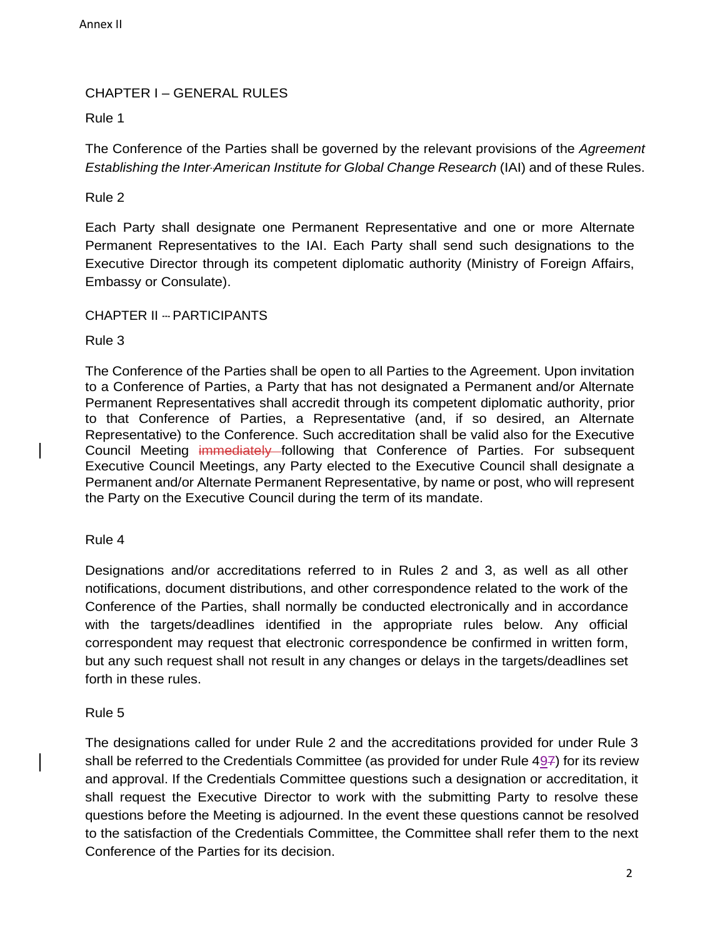# CHAPTER I – GENERAL RULES

## Rule 1

The Conference of the Parties shall be governed by the relevant provisions of the *Agreement Establishing the Inter-American Institute for Global Change Research* (IAI) and of these Rules.

## Rule 2

Each Party shall designate one Permanent Representative and one or more Alternate Permanent Representatives to the IAI. Each Party shall send such designations to the Executive Director through its competent diplomatic authority (Ministry of Foreign Affairs, Embassy or Consulate).

## CHAPTER II --‐ PARTICIPANTS

## Rule 3

The Conference of the Parties shall be open to all Parties to the Agreement. Upon invitation to a Conference of Parties, a Party that has not designated a Permanent and/or Alternate Permanent Representatives shall accredit through its competent diplomatic authority, prior to that Conference of Parties, a Representative (and, if so desired, an Alternate Representative) to the Conference. Such accreditation shall be valid also for the Executive Council Meeting immediately following that Conference of Parties. For subsequent Executive Council Meetings, any Party elected to the Executive Council shall designate a Permanent and/or Alternate Permanent Representative, by name or post, who will represent the Party on the Executive Council during the term of its mandate.

## Rule 4

Designations and/or accreditations referred to in Rules 2 and 3, as well as all other notifications, document distributions, and other correspondence related to the work of the Conference of the Parties, shall normally be conducted electronically and in accordance with the targets/deadlines identified in the appropriate rules below. Any official correspondent may request that electronic correspondence be confirmed in written form, but any such request shall not result in any changes or delays in the targets/deadlines set forth in these rules.

## Rule 5

The designations called for under Rule 2 and the accreditations provided for under Rule 3 shall be referred to the Credentials Committee (as provided for under Rule  $49\overline{7}$ ) for its review and approval. If the Credentials Committee questions such a designation or accreditation, it shall request the Executive Director to work with the submitting Party to resolve these questions before the Meeting is adjourned. In the event these questions cannot be resolved to the satisfaction of the Credentials Committee, the Committee shall refer them to the next Conference of the Parties for its decision.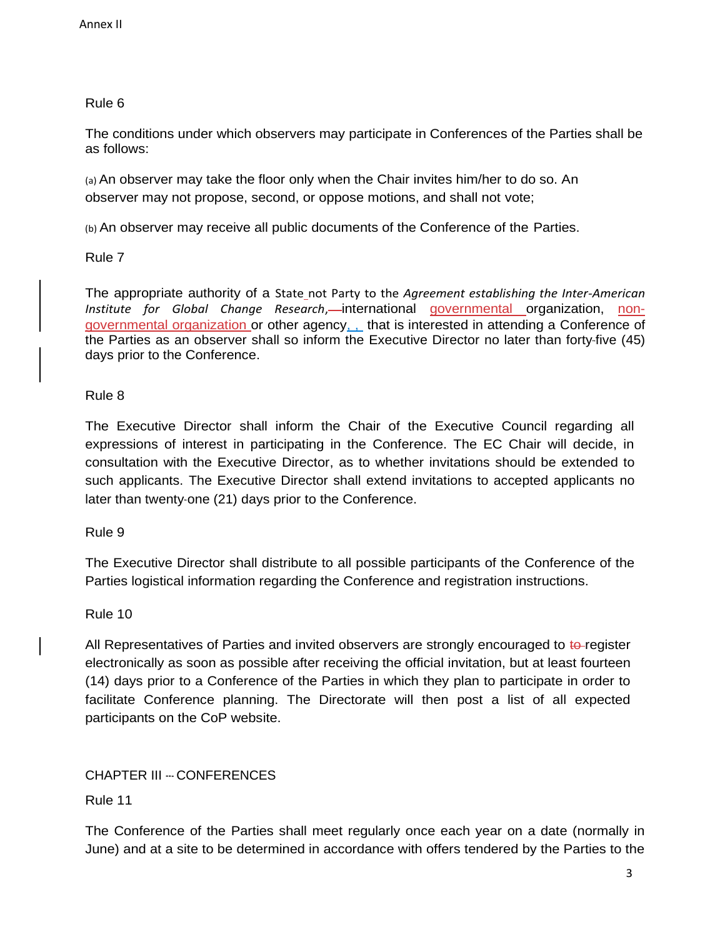The conditions under which observers may participate in Conferences of the Parties shall be as follows:

(a) An observer may take the floor only when the Chair invites him/her to do so. An observer may not propose, second, or oppose motions, and shall not vote;

(b) An observer may receive all public documents of the Conference of the Parties.

Rule 7

The appropriate authority of a State not Party to the *Agreement establishing the Inter-American Institute for Global Change Research*, international governmental organization, nongovernmental organization or other agency, , that is interested in attending a Conference of the Parties as an observer shall so inform the Executive Director no later than forty-five (45) days prior to the Conference.

# Rule 8

The Executive Director shall inform the Chair of the Executive Council regarding all expressions of interest in participating in the Conference. The EC Chair will decide, in consultation with the Executive Director, as to whether invitations should be extended to such applicants. The Executive Director shall extend invitations to accepted applicants no later than twenty-one (21) days prior to the Conference.

Rule 9

The Executive Director shall distribute to all possible participants of the Conference of the Parties logistical information regarding the Conference and registration instructions.

# Rule 10

All Representatives of Parties and invited observers are strongly encouraged to to-register electronically as soon as possible after receiving the official invitation, but at least fourteen (14) days prior to a Conference of the Parties in which they plan to participate in order to facilitate Conference planning. The Directorate will then post a list of all expected participants on the CoP website.

# CHAPTER III --‐ CONFERENCES

Rule 11

The Conference of the Parties shall meet regularly once each year on a date (normally in June) and at a site to be determined in accordance with offers tendered by the Parties to the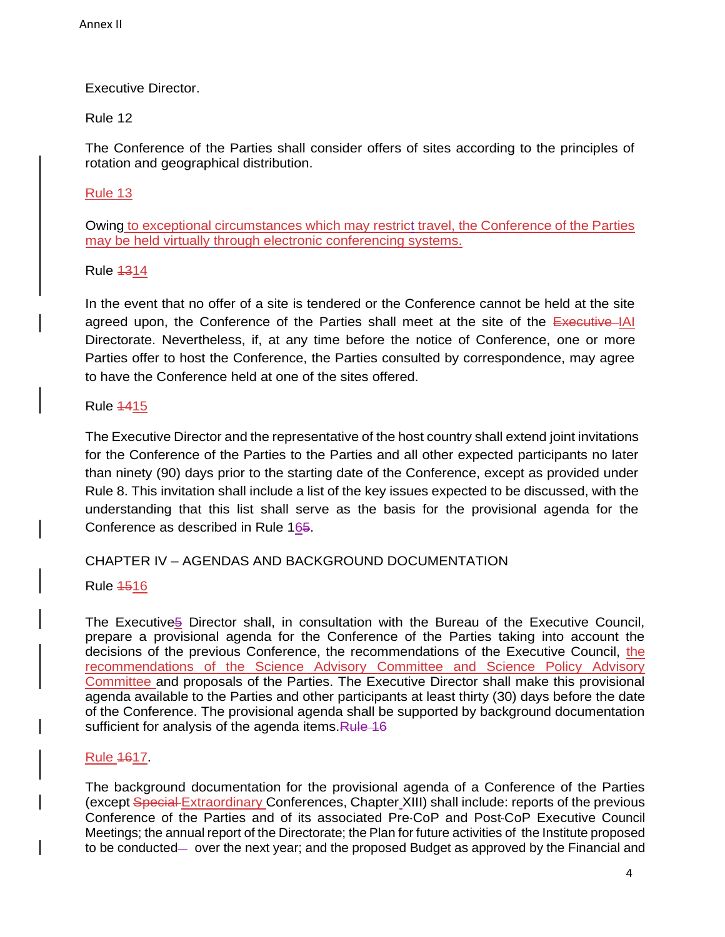# Executive Director.

## Rule 12

The Conference of the Parties shall consider offers of sites according to the principles of rotation and geographical distribution.

## Rule 13

Owing to exceptional circumstances which may restrict travel, the Conference of the Parties may be held virtually through electronic conferencing systems.

## Rule 1314

In the event that no offer of a site is tendered or the Conference cannot be held at the site agreed upon, the Conference of the Parties shall meet at the site of the Executive IAI Directorate. Nevertheless, if, at any time before the notice of Conference, one or more Parties offer to host the Conference, the Parties consulted by correspondence, may agree to have the Conference held at one of the sites offered.

## Rule 1415

The Executive Director and the representative of the host country shall extend joint invitations for the Conference of the Parties to the Parties and all other expected participants no later than ninety (90) days prior to the starting date of the Conference, except as provided under Rule 8. This invitation shall include a list of the key issues expected to be discussed, with the understanding that this list shall serve as the basis for the provisional agenda for the Conference as described in Rule 165.

# CHAPTER IV – AGENDAS AND BACKGROUND DOCUMENTATION

## Rule 1516

The Executive<sup>5</sup> Director shall, in consultation with the Bureau of the Executive Council, prepare a provisional agenda for the Conference of the Parties taking into account the decisions of the previous Conference, the recommendations of the Executive Council, the recommendations of the Science Advisory Committee and Science Policy Advisory Committee and proposals of the Parties. The Executive Director shall make this provisional agenda available to the Parties and other participants at least thirty (30) days before the date of the Conference. The provisional agenda shall be supported by background documentation sufficient for analysis of the agenda items. Rule 16

# Rule 1617.

The background documentation for the provisional agenda of a Conference of the Parties (except Special Extraordinary Conferences, Chapter XIII) shall include: reports of the previous Conference of the Parties and of its associated Pre-CoP and Post-CoP Executive Council Meetings; the annual report of the Directorate; the Plan for future activities of the Institute proposed to be conducted— over the next year; and the proposed Budget as approved by the Financial and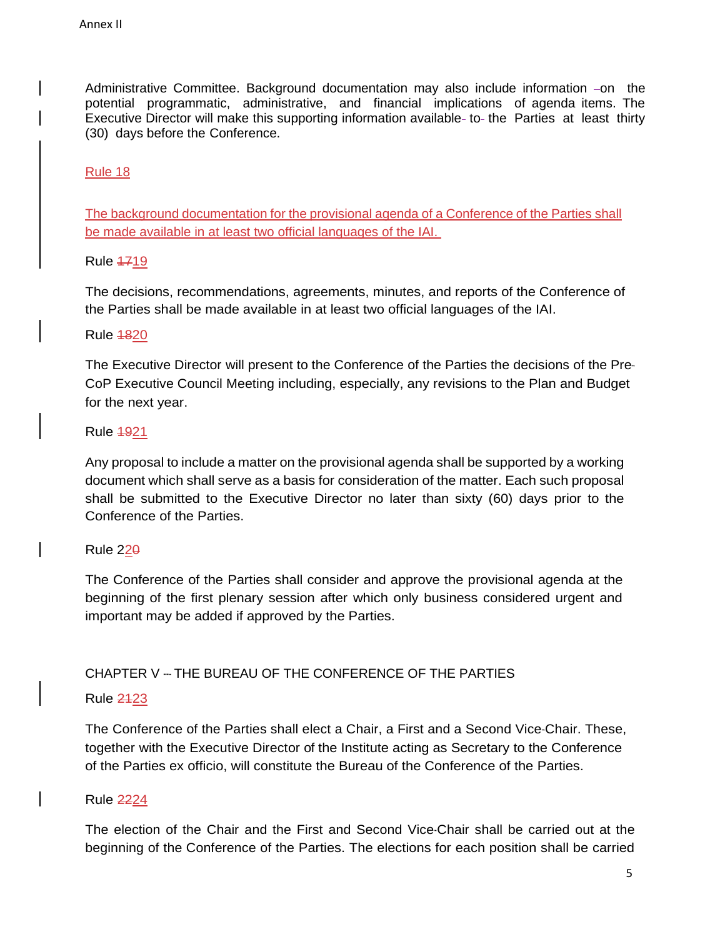Administrative Committee. Background documentation may also include information -on the potential programmatic, administrative, and financial implications of agenda items. The Executive Director will make this supporting information available- to- the Parties at least thirty (30) days before the Conference.

Rule 18

The background documentation for the provisional agenda of a Conference of the Parties shall be made available in at least two official languages of the IAI.

Rule 1719

The decisions, recommendations, agreements, minutes, and reports of the Conference of the Parties shall be made available in at least two official languages of the IAI.

Rule 1820

The Executive Director will present to the Conference of the Parties the decisions of the Pre-CoP Executive Council Meeting including, especially, any revisions to the Plan and Budget for the next year.

Rule 1921

Any proposal to include a matter on the provisional agenda shall be supported by a working document which shall serve as a basis for consideration of the matter. Each such proposal shall be submitted to the Executive Director no later than sixty (60) days prior to the Conference of the Parties.

Rule 220

The Conference of the Parties shall consider and approve the provisional agenda at the beginning of the first plenary session after which only business considered urgent and important may be added if approved by the Parties.

# CHAPTER V --- THE BUREAU OF THE CONFERENCE OF THE PARTIES

# Rule 2123

The Conference of the Parties shall elect a Chair, a First and a Second Vice-Chair. These, together with the Executive Director of the Institute acting as Secretary to the Conference of the Parties ex officio, will constitute the Bureau of the Conference of the Parties.

# Rule 2224

The election of the Chair and the First and Second Vice-Chair shall be carried out at the beginning of the Conference of the Parties. The elections for each position shall be carried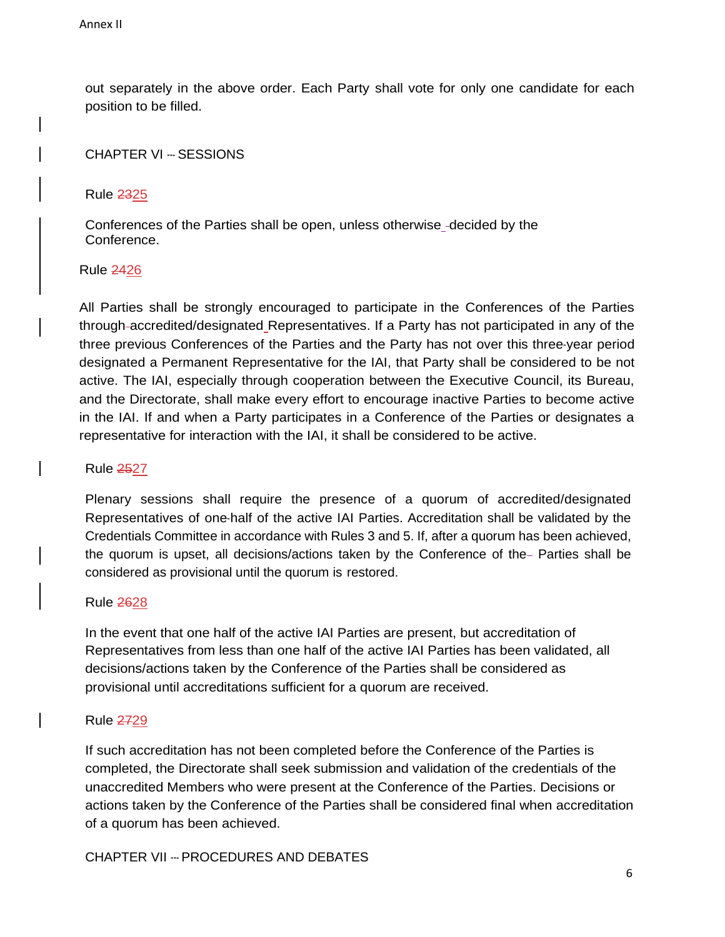out separately in the above order. Each Party shall vote for only one candidate for each position to be filled.

CHAPTER VI --- SESSIONS

Rule 2325

Conferences of the Parties shall be open, unless otherwise -decided by the Conference.

Rule 2426

All Parties shall be strongly encouraged to participate in the Conferences of the Parties through accredited/designated Representatives. If a Party has not participated in any of the three previous Conferences of the Parties and the Party has not over this three-year period designated a Permanent Representative for the IAI, that Party shall be considered to be not active. The IAI, especially through cooperation between the Executive Council, its Bureau, and the Directorate, shall make every effort to encourage inactive Parties to become active in the IAI. If and when a Party participates in a Conference of the Parties or designates a representative for interaction with the IAI, it shall be considered to be active.

Rule 2527

Plenary sessions shall require the presence of a quorum of accredited/designated Representatives of one-half of the active IAI Parties. Accreditation shall be validated by the Credentials Committee in accordance with Rules 3 and 5. If, after a quorum has been achieved, the quorum is upset, all decisions/actions taken by the Conference of the– Parties shall be considered as provisional until the quorum is restored.

Rule 2628

In the event that one half of the active IAI Parties are present, but accreditation of Representatives from less than one half of the active IAI Parties has been validated, all decisions/actions taken by the Conference of the Parties shall be considered as provisional until accreditations sufficient for a quorum are received.

## Rule 2729

If such accreditation has not been completed before the Conference of the Parties is completed, the Directorate shall seek submission and validation of the credentials of the unaccredited Members who were present at the Conference of the Parties. Decisions or actions taken by the Conference of the Parties shall be considered final when accreditation of a quorum has been achieved.

CHAPTER VII --- PROCEDURES AND DEBATES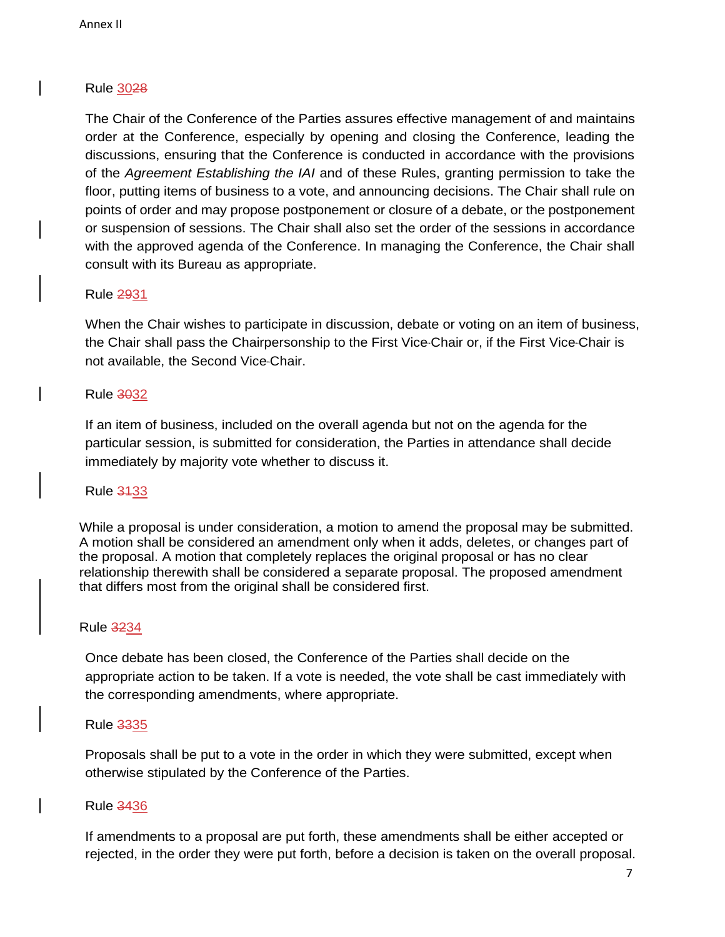The Chair of the Conference of the Parties assures effective management of and maintains order at the Conference, especially by opening and closing the Conference, leading the discussions, ensuring that the Conference is conducted in accordance with the provisions of the *Agreement Establishing the IAI* and of these Rules, granting permission to take the floor, putting items of business to a vote, and announcing decisions. The Chair shall rule on points of order and may propose postponement or closure of a debate, or the postponement or suspension of sessions. The Chair shall also set the order of the sessions in accordance with the approved agenda of the Conference. In managing the Conference, the Chair shall consult with its Bureau as appropriate.

### Rule 2931

When the Chair wishes to participate in discussion, debate or voting on an item of business, the Chair shall pass the Chairpersonship to the First Vice-Chair or, if the First Vice-Chair is not available, the Second Vice-Chair.

## Rule 3032

If an item of business, included on the overall agenda but not on the agenda for the particular session, is submitted for consideration, the Parties in attendance shall decide immediately by majority vote whether to discuss it.

## Rule 3133

While a proposal is under consideration, a motion to amend the proposal may be submitted. A motion shall be considered an amendment only when it adds, deletes, or changes part of the proposal. A motion that completely replaces the original proposal or has no clear relationship therewith shall be considered a separate proposal. The proposed amendment that differs most from the original shall be considered first.

#### Rule 3234

Once debate has been closed, the Conference of the Parties shall decide on the appropriate action to be taken. If a vote is needed, the vote shall be cast immediately with the corresponding amendments, where appropriate.

#### Rule 3335

Proposals shall be put to a vote in the order in which they were submitted, except when otherwise stipulated by the Conference of the Parties.

#### Rule 3436

If amendments to a proposal are put forth, these amendments shall be either accepted or rejected, in the order they were put forth, before a decision is taken on the overall proposal.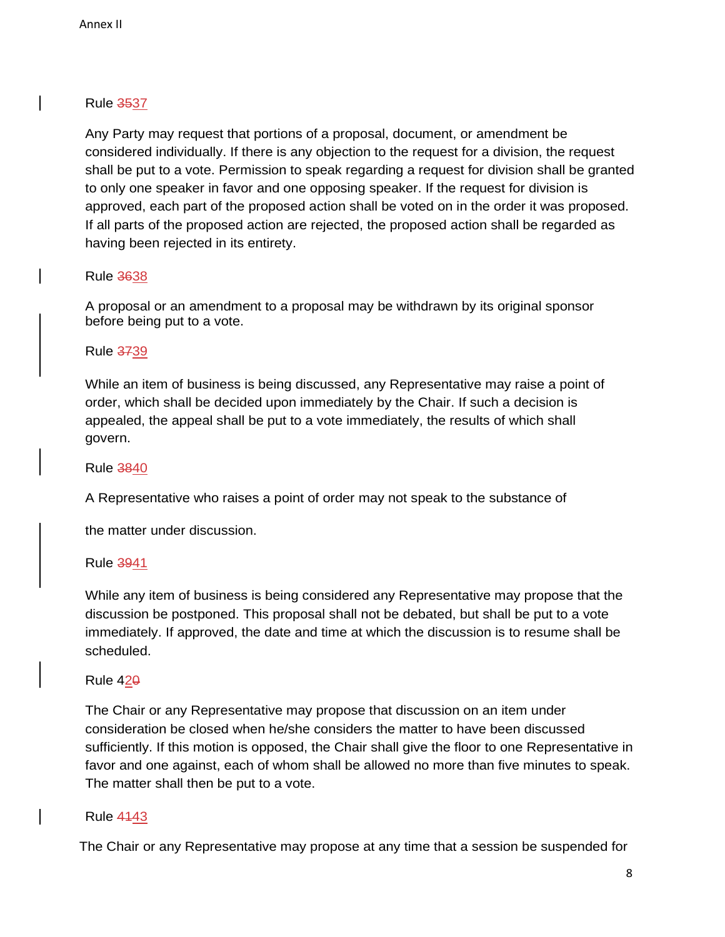Any Party may request that portions of a proposal, document, or amendment be considered individually. If there is any objection to the request for a division, the request shall be put to a vote. Permission to speak regarding a request for division shall be granted to only one speaker in favor and one opposing speaker. If the request for division is approved, each part of the proposed action shall be voted on in the order it was proposed. If all parts of the proposed action are rejected, the proposed action shall be regarded as having been rejected in its entirety.

## Rule 3638

A proposal or an amendment to a proposal may be withdrawn by its original sponsor before being put to a vote.

## Rule 3739

While an item of business is being discussed, any Representative may raise a point of order, which shall be decided upon immediately by the Chair. If such a decision is appealed, the appeal shall be put to a vote immediately, the results of which shall govern.

## Rule 3840

A Representative who raises a point of order may not speak to the substance of

the matter under discussion.

Rule 3941

While any item of business is being considered any Representative may propose that the discussion be postponed. This proposal shall not be debated, but shall be put to a vote immediately. If approved, the date and time at which the discussion is to resume shall be scheduled.

## Rule 420

The Chair or any Representative may propose that discussion on an item under consideration be closed when he/she considers the matter to have been discussed sufficiently. If this motion is opposed, the Chair shall give the floor to one Representative in favor and one against, each of whom shall be allowed no more than five minutes to speak. The matter shall then be put to a vote.

## Rule 4143

The Chair or any Representative may propose at any time that a session be suspended for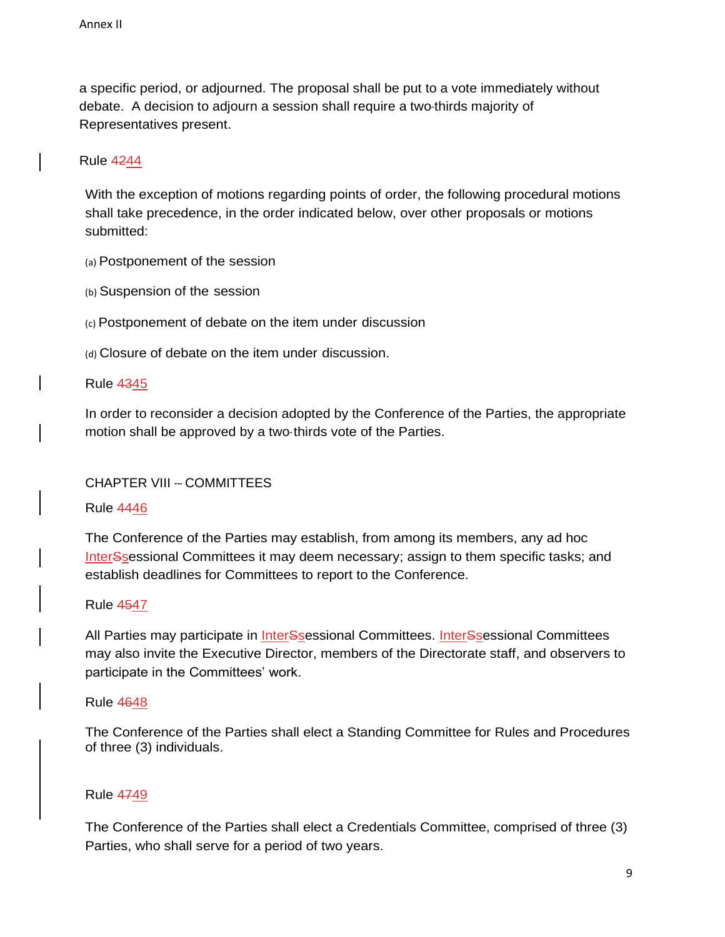a specific period, or adjourned. The proposal shall be put to a vote immediately without debate. A decision to adjourn a session shall require a two-thirds majority of Representatives present.

## Rule 4244

With the exception of motions regarding points of order, the following procedural motions shall take precedence, in the order indicated below, over other proposals or motions submitted:

(a) Postponement of the session

(b) Suspension of the session

(c) Postponement of debate on the item under discussion

(d) Closure of debate on the item under discussion.

Rule 4345

In order to reconsider a decision adopted by the Conference of the Parties, the appropriate motion shall be approved by a two-thirds vote of the Parties.

## CHAPTER VIII --‐ COMMITTEES

Rule 4446

The Conference of the Parties may establish, from among its members, any ad hoc InterSsessional Committees it may deem necessary; assign to them specific tasks; and establish deadlines for Committees to report to the Conference.

Rule 4547

All Parties may participate in *InterSsessional Committees*. *InterSsessional Committees* may also invite the Executive Director, members of the Directorate staff, and observers to participate in the Committees' work.

Rule 4648

The Conference of the Parties shall elect a Standing Committee for Rules and Procedures of three (3) individuals.

Rule 4749

The Conference of the Parties shall elect a Credentials Committee, comprised of three (3) Parties, who shall serve for a period of two years.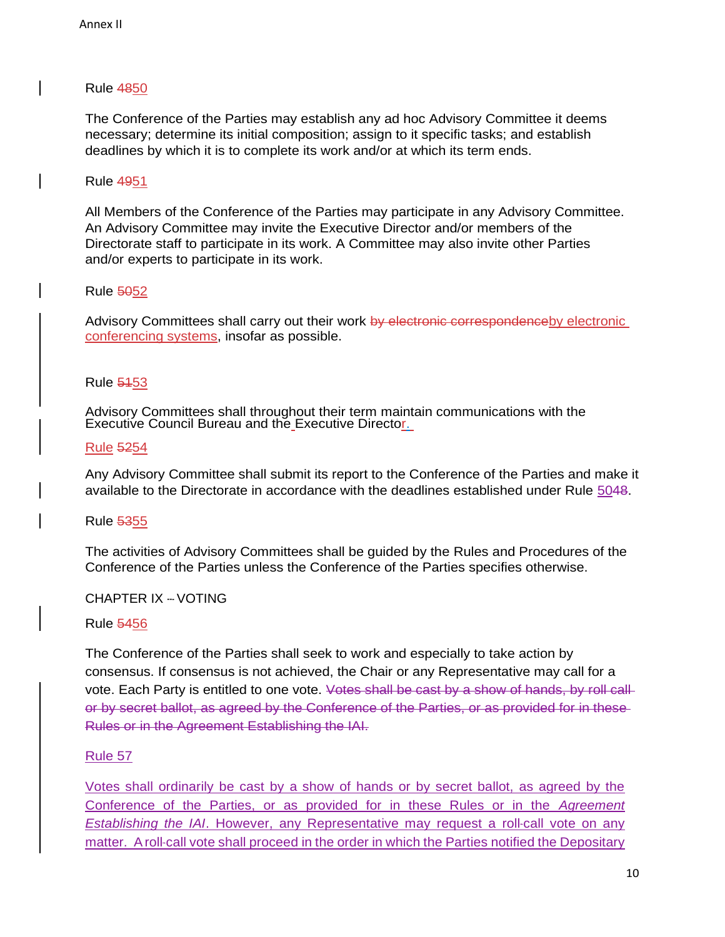The Conference of the Parties may establish any ad hoc Advisory Committee it deems necessary; determine its initial composition; assign to it specific tasks; and establish deadlines by which it is to complete its work and/or at which its term ends.

## Rule 4951

All Members of the Conference of the Parties may participate in any Advisory Committee. An Advisory Committee may invite the Executive Director and/or members of the Directorate staff to participate in its work. A Committee may also invite other Parties and/or experts to participate in its work.

### Rule 5052

Advisory Committees shall carry out their work by electronic correspondenceby electronic conferencing systems, insofar as possible.

### Rule 5153

Advisory Committees shall throughout their term maintain communications with the Executive Council Bureau and the Executive Director.

### Rule 5254

Any Advisory Committee shall submit its report to the Conference of the Parties and make it available to the Directorate in accordance with the deadlines established under Rule 5048.

#### Rule 5355

The activities of Advisory Committees shall be guided by the Rules and Procedures of the Conference of the Parties unless the Conference of the Parties specifies otherwise.

### CHAPTER IX --‐ VOTING

#### Rule 5456

The Conference of the Parties shall seek to work and especially to take action by consensus. If consensus is not achieved, the Chair or any Representative may call for a vote. Each Party is entitled to one vote. Votes shall be cast by a show of hands, by roll callor by secret ballot, as agreed by the Conference of the Parties, or as provided for in these Rules or in the Agreement Establishing the IAI.

#### Rule 57

Votes shall ordinarily be cast by a show of hands or by secret ballot, as agreed by the Conference of the Parties, or as provided for in these Rules or in the *Agreement Establishing the IAI*. However, any Representative may request a roll-call vote on any matter. A roll-call vote shall proceed in the order in which the Parties notified the Depositary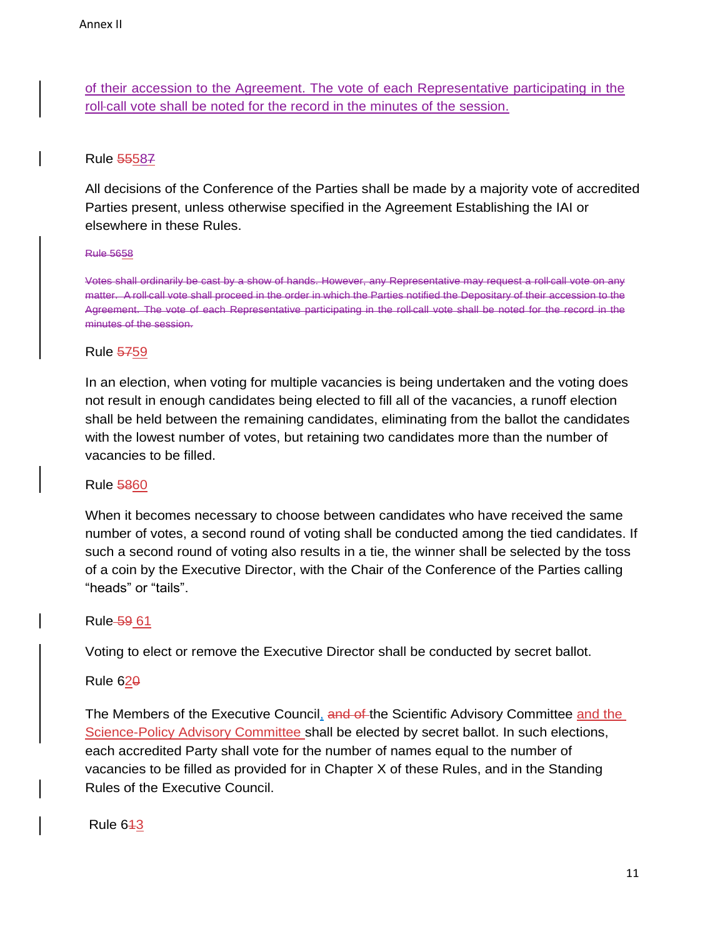of their accession to the Agreement. The vote of each Representative participating in the roll-call vote shall be noted for the record in the minutes of the session.

# Rule 55587

All decisions of the Conference of the Parties shall be made by a majority vote of accredited Parties present, unless otherwise specified in the Agreement Establishing the IAI or elsewhere in these Rules.

#### Rule 5658

Votes shall ordinarily be cast by a show of hands. However, any Representative may request a roll-call vote on any matter. A roll-call vote shall proceed in the order in which the Parties notified the Depositary of their accession to the Agreement. The vote of each Representative participating in the roll-call vote shall be noted for the record in the minutes of the session.

### Rule 5759

In an election, when voting for multiple vacancies is being undertaken and the voting does not result in enough candidates being elected to fill all of the vacancies, a runoff election shall be held between the remaining candidates, eliminating from the ballot the candidates with the lowest number of votes, but retaining two candidates more than the number of vacancies to be filled.

## Rule 5860

When it becomes necessary to choose between candidates who have received the same number of votes, a second round of voting shall be conducted among the tied candidates. If such a second round of voting also results in a tie, the winner shall be selected by the toss of a coin by the Executive Director, with the Chair of the Conference of the Parties calling "heads" or "tails".

## Rule 59 61

Voting to elect or remove the Executive Director shall be conducted by secret ballot.

## Rule  $62<sub>0</sub>$

The Members of the Executive Council, and of the Scientific Advisory Committee and the Science-Policy Advisory Committee shall be elected by secret ballot. In such elections, each accredited Party shall vote for the number of names equal to the number of vacancies to be filled as provided for in Chapter X of these Rules, and in the Standing Rules of the Executive Council.

Rule  $643$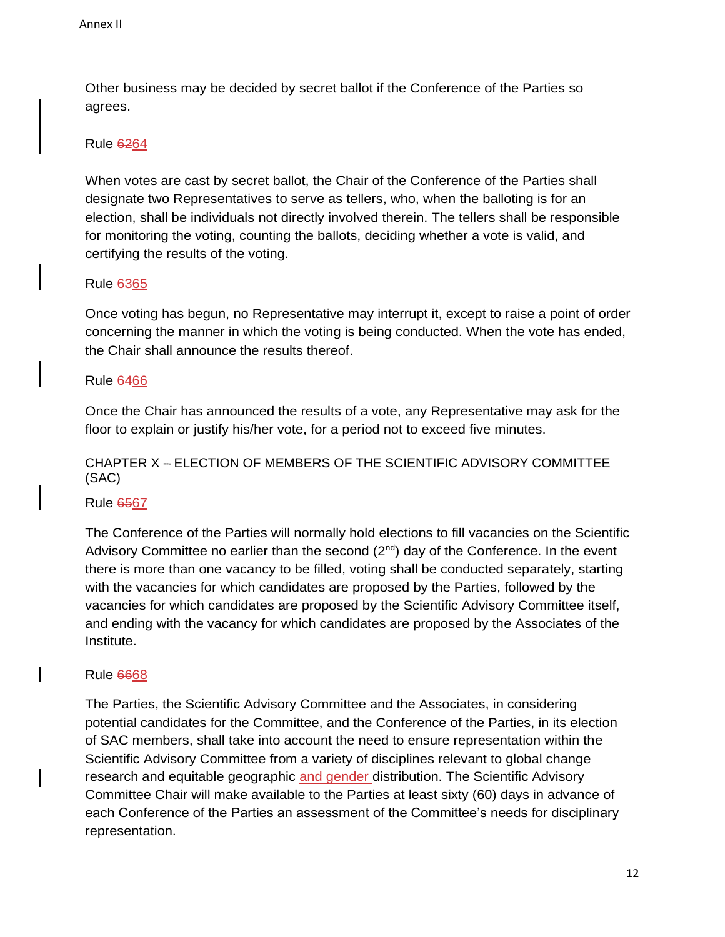Other business may be decided by secret ballot if the Conference of the Parties so agrees.

## Rule 6264

When votes are cast by secret ballot, the Chair of the Conference of the Parties shall designate two Representatives to serve as tellers, who, when the balloting is for an election, shall be individuals not directly involved therein. The tellers shall be responsible for monitoring the voting, counting the ballots, deciding whether a vote is valid, and certifying the results of the voting.

## Rule 6365

Once voting has begun, no Representative may interrupt it, except to raise a point of order concerning the manner in which the voting is being conducted. When the vote has ended, the Chair shall announce the results thereof.

## Rule 6466

Once the Chair has announced the results of a vote, any Representative may ask for the floor to explain or justify his/her vote, for a period not to exceed five minutes.

# CHAPTER X --- ELECTION OF MEMBERS OF THE SCIENTIFIC ADVISORY COMMITTEE (SAC)

## Rule 6567

The Conference of the Parties will normally hold elections to fill vacancies on the Scientific Advisory Committee no earlier than the second  $(2^{nd})$  day of the Conference. In the event there is more than one vacancy to be filled, voting shall be conducted separately, starting with the vacancies for which candidates are proposed by the Parties, followed by the vacancies for which candidates are proposed by the Scientific Advisory Committee itself, and ending with the vacancy for which candidates are proposed by the Associates of the Institute.

## Rule 6668

The Parties, the Scientific Advisory Committee and the Associates, in considering potential candidates for the Committee, and the Conference of the Parties, in its election of SAC members, shall take into account the need to ensure representation within the Scientific Advisory Committee from a variety of disciplines relevant to global change research and equitable geographic and gender distribution. The Scientific Advisory Committee Chair will make available to the Parties at least sixty (60) days in advance of each Conference of the Parties an assessment of the Committee's needs for disciplinary representation.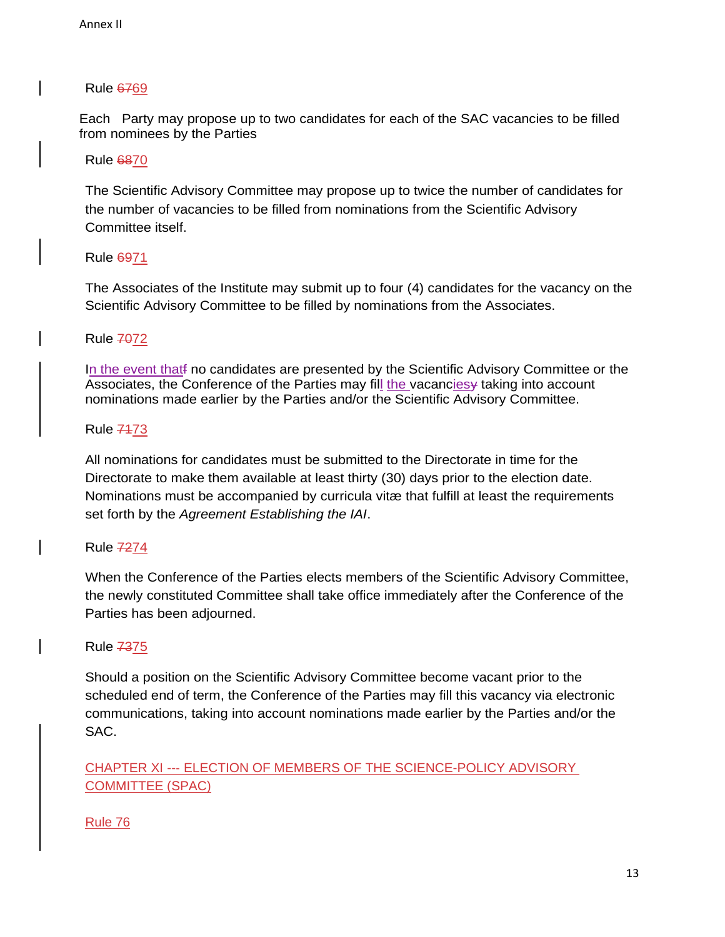Each Party may propose up to two candidates for each of the SAC vacancies to be filled from nominees by the Parties

Rule 6870

The Scientific Advisory Committee may propose up to twice the number of candidates for the number of vacancies to be filled from nominations from the Scientific Advisory Committee itself.

Rule 6971

The Associates of the Institute may submit up to four (4) candidates for the vacancy on the Scientific Advisory Committee to be filled by nominations from the Associates.

**Rule 7072** 

In the event thatf no candidates are presented by the Scientific Advisory Committee or the Associates, the Conference of the Parties may fill the vacancies y taking into account nominations made earlier by the Parties and/or the Scientific Advisory Committee.

Rule 7173

All nominations for candidates must be submitted to the Directorate in time for the Directorate to make them available at least thirty (30) days prior to the election date. Nominations must be accompanied by curricula vitæ that fulfill at least the requirements set forth by the *Agreement Establishing the IAI*.

Rule 7274

When the Conference of the Parties elects members of the Scientific Advisory Committee, the newly constituted Committee shall take office immediately after the Conference of the Parties has been adjourned.

Rule 7375

Should a position on the Scientific Advisory Committee become vacant prior to the scheduled end of term, the Conference of the Parties may fill this vacancy via electronic communications, taking into account nominations made earlier by the Parties and/or the SAC.

CHAPTER XI --‐ ELECTION OF MEMBERS OF THE SCIENCE-POLICY ADVISORY COMMITTEE (SPAC)

Rule 76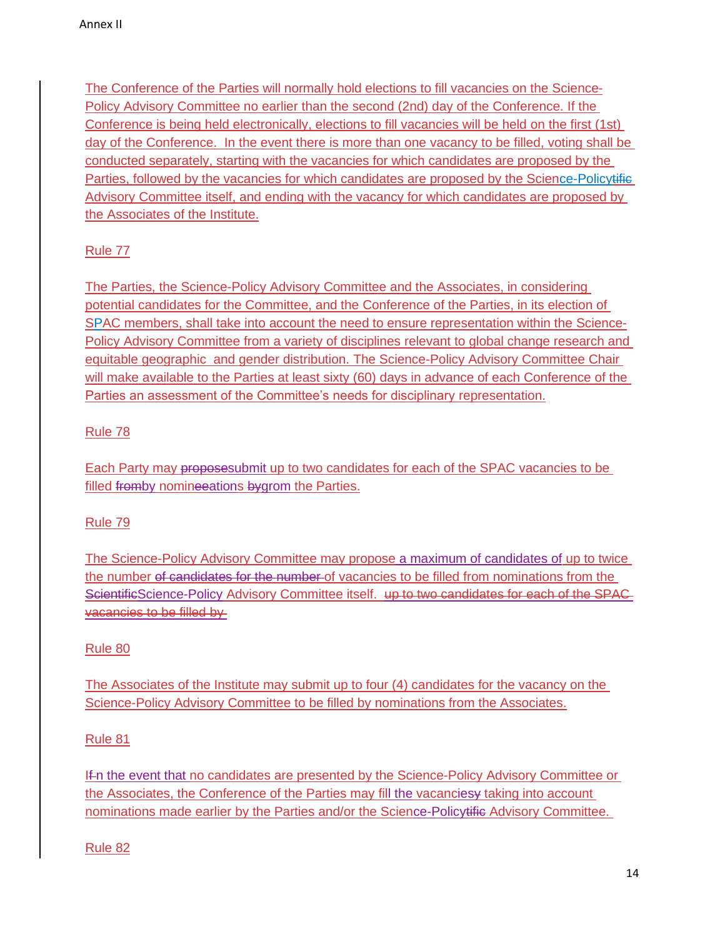The Conference of the Parties will normally hold elections to fill vacancies on the Science-Policy Advisory Committee no earlier than the second (2nd) day of the Conference. If the Conference is being held electronically, elections to fill vacancies will be held on the first (1st) day of the Conference. In the event there is more than one vacancy to be filled, voting shall be conducted separately, starting with the vacancies for which candidates are proposed by the Parties, followed by the vacancies for which candidates are proposed by the Science-Policytifie Advisory Committee itself, and ending with the vacancy for which candidates are proposed by the Associates of the Institute.

# Rule 77

The Parties, the Science-Policy Advisory Committee and the Associates, in considering potential candidates for the Committee, and the Conference of the Parties, in its election of SPAC members, shall take into account the need to ensure representation within the Science-Policy Advisory Committee from a variety of disciplines relevant to global change research and equitable geographic and gender distribution. The Science-Policy Advisory Committee Chair will make available to the Parties at least sixty (60) days in advance of each Conference of the Parties an assessment of the Committee's needs for disciplinary representation.

# Rule 78

Each Party may proposesubmit up to two candidates for each of the SPAC vacancies to be filled fromby nomine eations by grom the Parties.

# Rule 79

The Science-Policy Advisory Committee may propose a maximum of candidates of up to twice the number of candidates for the number of vacancies to be filled from nominations from the ScientificScience-Policy Advisory Committee itself. up to two candidates for each of the SPAC vacancies to be filled by

# Rule 80

The Associates of the Institute may submit up to four (4) candidates for the vacancy on the Science-Policy Advisory Committee to be filled by nominations from the Associates.

# Rule 81

If n the event that no candidates are presented by the Science-Policy Advisory Committee or the Associates, the Conference of the Parties may fill the vacanciesy taking into account nominations made earlier by the Parties and/or the Science-Policytifie Advisory Committee.

# Rule 82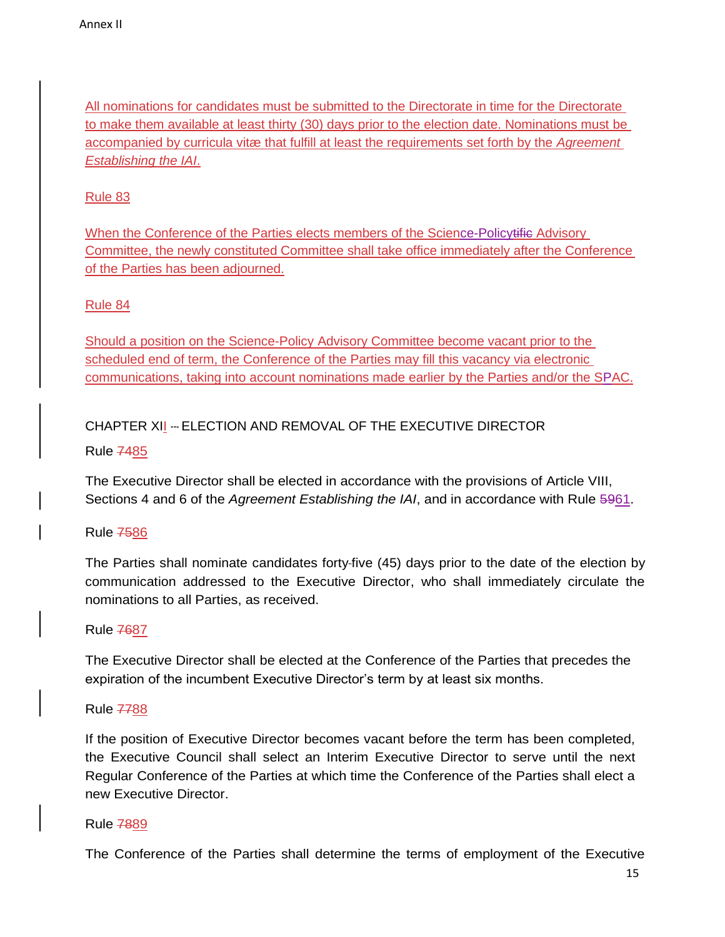All nominations for candidates must be submitted to the Directorate in time for the Directorate to make them available at least thirty (30) days prior to the election date. Nominations must be accompanied by curricula vitæ that fulfill at least the requirements set forth by the *Agreement Establishing the IAI*.

## Rule 83

When the Conference of the Parties elects members of the Science-Policytifie Advisory Committee, the newly constituted Committee shall take office immediately after the Conference of the Parties has been adjourned.

## Rule 84

Should a position on the Science-Policy Advisory Committee become vacant prior to the scheduled end of term, the Conference of the Parties may fill this vacancy via electronic communications, taking into account nominations made earlier by the Parties and/or the SPAC.

CHAPTER XII -- ELECTION AND REMOVAL OF THE EXECUTIVE DIRECTOR

Rule 7485

The Executive Director shall be elected in accordance with the provisions of Article VIII, Sections 4 and 6 of the *Agreement Establishing the IAI*, and in accordance with Rule 5961.

## Rule 7586

The Parties shall nominate candidates forty-five (45) days prior to the date of the election by communication addressed to the Executive Director, who shall immediately circulate the nominations to all Parties, as received.

Rule 7687

The Executive Director shall be elected at the Conference of the Parties that precedes the expiration of the incumbent Executive Director's term by at least six months.

Rule 7788

If the position of Executive Director becomes vacant before the term has been completed, the Executive Council shall select an Interim Executive Director to serve until the next Regular Conference of the Parties at which time the Conference of the Parties shall elect a new Executive Director.

Rule 7889

The Conference of the Parties shall determine the terms of employment of the Executive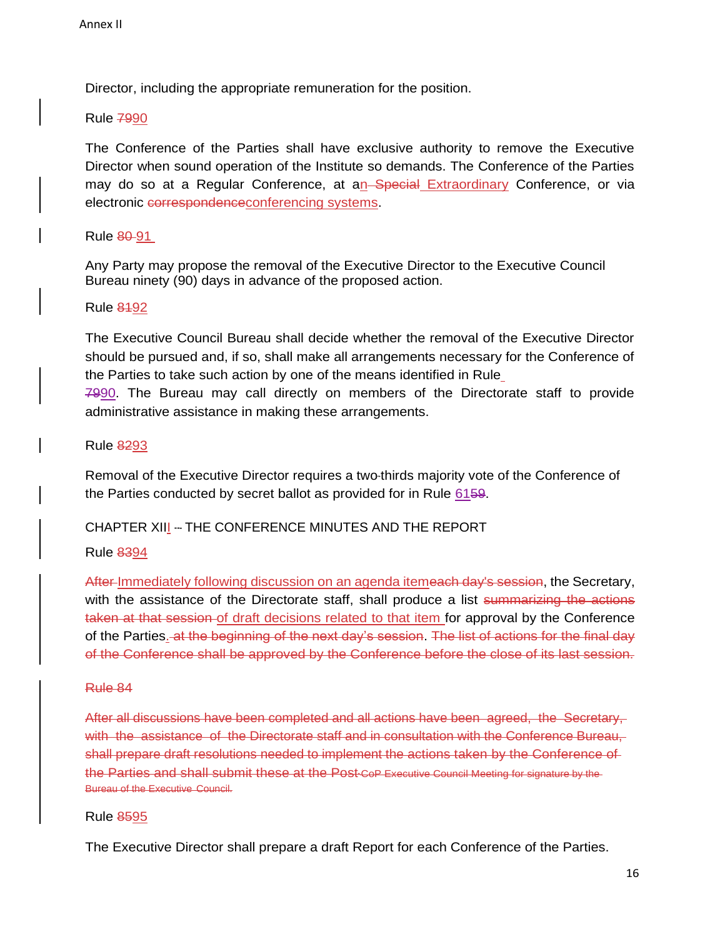Director, including the appropriate remuneration for the position.

Rule 7990

The Conference of the Parties shall have exclusive authority to remove the Executive Director when sound operation of the Institute so demands. The Conference of the Parties may do so at a Regular Conference, at an Special Extraordinary Conference, or via electronic correspondence conferencing systems.

Rule 80 91

Any Party may propose the removal of the Executive Director to the Executive Council Bureau ninety (90) days in advance of the proposed action.

#### Rule 8192

The Executive Council Bureau shall decide whether the removal of the Executive Director should be pursued and, if so, shall make all arrangements necessary for the Conference of the Parties to take such action by one of the means identified in Rule 7990. The Bureau may call directly on members of the Directorate staff to provide administrative assistance in making these arrangements.

### Rule 8293

Removal of the Executive Director requires a two-thirds majority vote of the Conference of the Parties conducted by secret ballot as provided for in Rule 6159.

## CHAPTER XIII -- THE CONFERENCE MINUTES AND THE REPORT

#### Rule 8394

After-Immediately following discussion on an agenda itemeach day's session, the Secretary, with the assistance of the Directorate staff, shall produce a list summarizing the actions taken at that session of draft decisions related to that item for approval by the Conference of the Parties. at the beginning of the next day's session. The list of actions for the final day of the Conference shall be approved by the Conference before the close of its last session.

#### Rule 84

After all discussions have been completed and all actions have been agreed, the Secretary, with the assistance of the Directorate staff and in consultation with the Conference Bureau, shall prepare draft resolutions needed to implement the actions taken by the Conference of the Parties and shall submit these at the Post-CoP Executive Council Meeting for signature by the Bureau of the Executive Council.

#### Rule 8595

The Executive Director shall prepare a draft Report for each Conference of the Parties.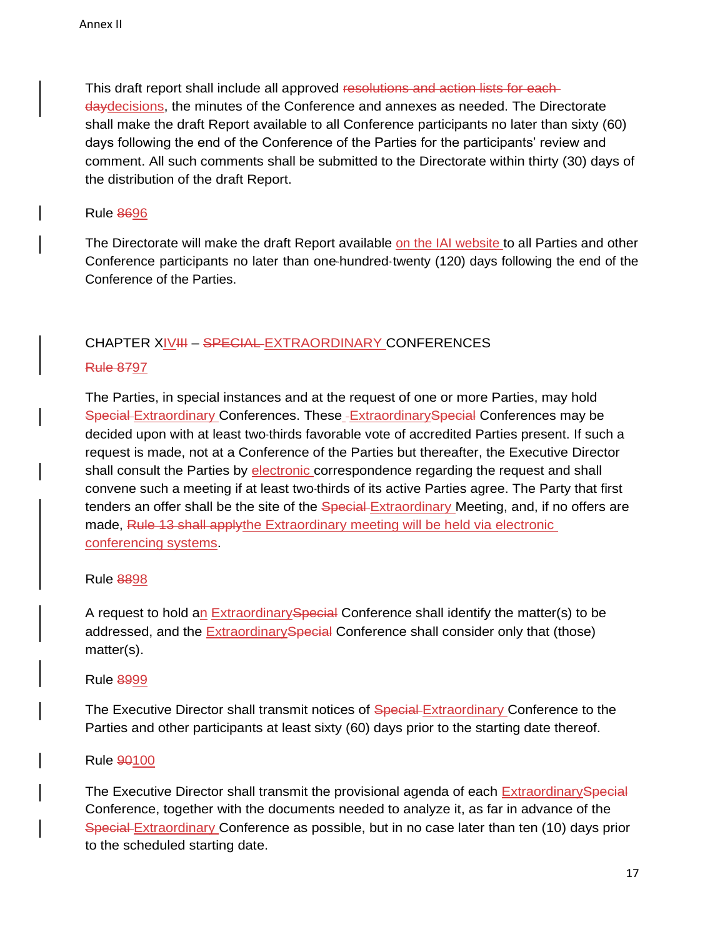This draft report shall include all approved resolutions and action lists for each daydecisions, the minutes of the Conference and annexes as needed. The Directorate shall make the draft Report available to all Conference participants no later than sixty (60) days following the end of the Conference of the Parties for the participants' review and comment. All such comments shall be submitted to the Directorate within thirty (30) days of the distribution of the draft Report.

### Rule 8696

The Directorate will make the draft Report available on the IAI website to all Parties and other Conference participants no later than one-hundred-twenty (120) days following the end of the Conference of the Parties.

## CHAPTER XIVIII – SPECIAL EXTRAORDINARY CONFERENCES

## Rule 8797

The Parties, in special instances and at the request of one or more Parties, may hold Special Extraordinary Conferences. These -Extraordinary Special Conferences may be decided upon with at least two-thirds favorable vote of accredited Parties present. If such a request is made, not at a Conference of the Parties but thereafter, the Executive Director shall consult the Parties by electronic correspondence regarding the request and shall convene such a meeting if at least two-thirds of its active Parties agree. The Party that first tenders an offer shall be the site of the Special Extraordinary Meeting, and, if no offers are made, Rule 13 shall applythe Extraordinary meeting will be held via electronic conferencing systems.

## Rule 8898

A request to hold an Extraordinary Special Conference shall identify the matter(s) to be addressed, and the ExtraordinarySpecial Conference shall consider only that (those) matter(s).

#### Rule 8999

The Executive Director shall transmit notices of Special Extraordinary Conference to the Parties and other participants at least sixty (60) days prior to the starting date thereof.

## Rule 90100

The Executive Director shall transmit the provisional agenda of each Extraordinary Special Conference, together with the documents needed to analyze it, as far in advance of the Special Extraordinary Conference as possible, but in no case later than ten (10) days prior to the scheduled starting date.